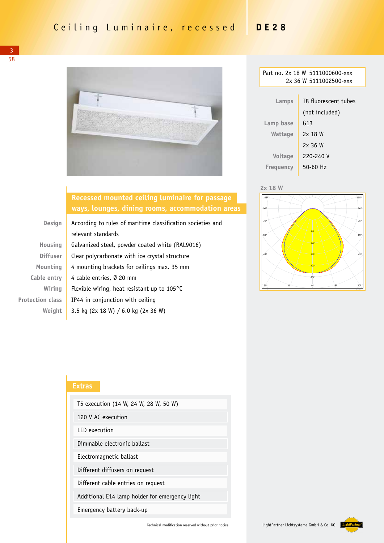

| Part no. 2x 18 W 5111000600-xxx |                |  |  |  |
|---------------------------------|----------------|--|--|--|
| 2x 36 W 5111002500-xxx          |                |  |  |  |
|                                 |                |  |  |  |
| T8 fluorescent tubes<br>Lamps   |                |  |  |  |
|                                 | (not included) |  |  |  |
| Lamp base                       | G13            |  |  |  |
| Wattage                         | 2x 18 W        |  |  |  |
|                                 | $2x$ 36 W      |  |  |  |
| <b>Voltage</b>                  | 220-240 V      |  |  |  |
| Frequency                       | $50 - 60$ Hz   |  |  |  |
|                                 |                |  |  |  |





## **Recessed mounted ceiling luminaire for passage ways, lounges, dining rooms, accommodation areas**

| <b>Design</b>           | According to rules of maritime classification societies and |  |
|-------------------------|-------------------------------------------------------------|--|
|                         | relevant standards                                          |  |
| Housing                 | Galvanized steel, powder coated white (RAL9016)             |  |
| <b>Diffuser</b>         | Clear polycarbonate with ice crystal structure              |  |
| Mounting                | 4 mounting brackets for ceilings max. 35 mm                 |  |
| Cable entry             | 4 cable entries, $\emptyset$ 20 mm                          |  |
| Wiring                  | Flexible wiring, heat resistant up to $105^{\circ}$ C       |  |
| <b>Protection class</b> | IP44 in conjunction with ceiling                            |  |
| Weight                  | 3.5 kg (2x 18 W) / 6.0 kg (2x 36 W)                         |  |
|                         |                                                             |  |

## **Extras**

| T5 execution (14 W, 24 W, 28 W, 50 W)          |  |  |  |  |
|------------------------------------------------|--|--|--|--|
| 120 V AC execution                             |  |  |  |  |
| <b>IFD</b> execution                           |  |  |  |  |
| Dimmable electronic ballast                    |  |  |  |  |
| Electromagnetic ballast                        |  |  |  |  |
| Different diffusers on request                 |  |  |  |  |
| Different cable entries on request             |  |  |  |  |
| Additional E14 lamp holder for emergency light |  |  |  |  |
| Emergency battery back-up                      |  |  |  |  |